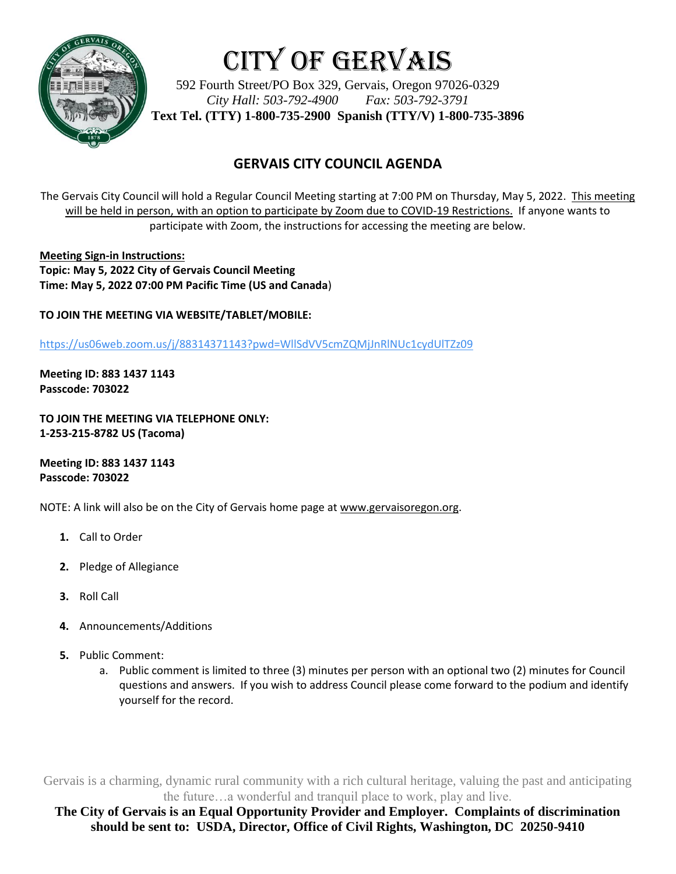

# City of Gervais

592 Fourth Street/PO Box 329, Gervais, Oregon 97026-0329 *City Hall: 503-792-4900 Fax: 503-792-3791* **Text Tel. (TTY) 1-800-735-2900 Spanish (TTY/V) 1-800-735-3896**

## **GERVAIS CITY COUNCIL AGENDA**

The Gervais City Council will hold a Regular Council Meeting starting at 7:00 PM on Thursday, May 5, 2022. This meeting will be held in person, with an option to participate by Zoom due to COVID-19 Restrictions. If anyone wants to participate with Zoom, the instructions for accessing the meeting are below.

**Meeting Sign-in Instructions: Topic: May 5, 2022 City of Gervais Council Meeting Time: May 5, 2022 07:00 PM Pacific Time (US and Canada**)

**TO JOIN THE MEETING VIA WEBSITE/TABLET/MOBILE:**

<https://us06web.zoom.us/j/88314371143?pwd=WllSdVV5cmZQMjJnRlNUc1cydUlTZz09>

**Meeting ID: 883 1437 1143 Passcode: 703022**

**TO JOIN THE MEETING VIA TELEPHONE ONLY: 1-253-215-8782 US (Tacoma)**

**Meeting ID: 883 1437 1143 Passcode: 703022**

NOTE: A link will also be on the City of Gervais home page at www.gervaisoregon.org.

- **1.** Call to Order
- **2.** Pledge of Allegiance
- **3.** Roll Call
- **4.** Announcements/Additions
- **5.** Public Comment:
	- a. Public comment is limited to three (3) minutes per person with an optional two (2) minutes for Council questions and answers. If you wish to address Council please come forward to the podium and identify yourself for the record.

Gervais is a charming, dynamic rural community with a rich cultural heritage, valuing the past and anticipating the future…a wonderful and tranquil place to work, play and live.

**The City of Gervais is an Equal Opportunity Provider and Employer. Complaints of discrimination should be sent to: USDA, Director, Office of Civil Rights, Washington, DC 20250-9410**